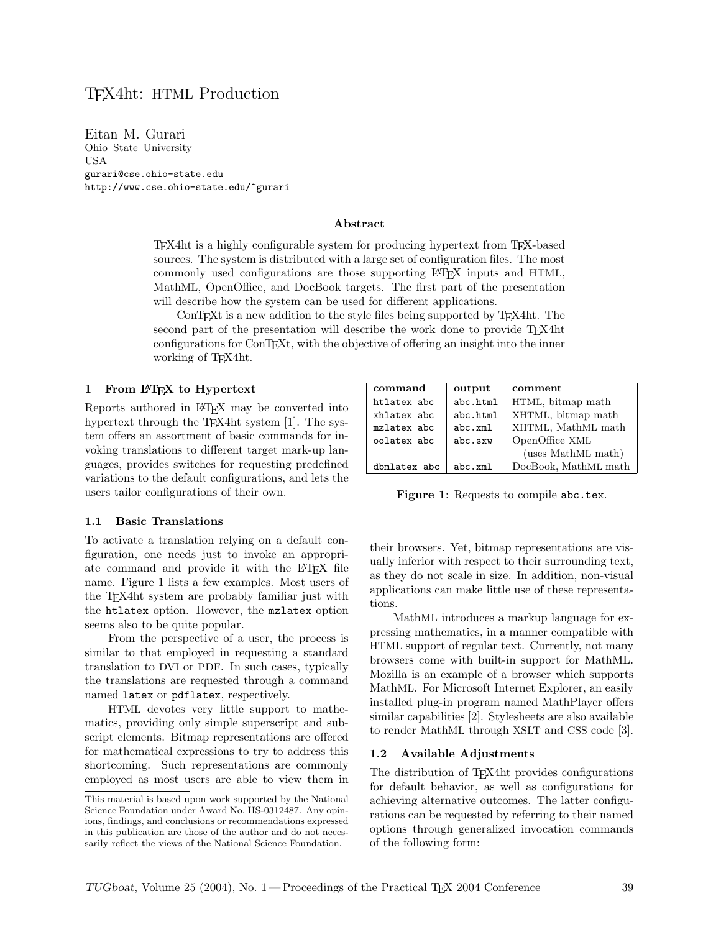# TEX4ht: HTML Production

Eitan M. Gurari Ohio State University USA gurari@cse.ohio-state.edu http://www.cse.ohio-state.edu/~gurari

#### Abstract

TEX4ht is a highly configurable system for producing hypertext from TEX-based sources. The system is distributed with a large set of configuration files. The most commonly used configurations are those supporting LATEX inputs and HTML, MathML, OpenOffice, and DocBook targets. The first part of the presentation will describe how the system can be used for different applications.

ConTEXt is a new addition to the style files being supported by TEX4ht. The second part of the presentation will describe the work done to provide TEX4ht configurations for ConTEXt, with the objective of offering an insight into the inner working of T<sub>EX4</sub>ht.

### 1 From ET<sub>F</sub>X to Hypertext

Reports authored in LATEX may be converted into hypertext through the T<sub>E</sub>X4ht system [1]. The system offers an assortment of basic commands for invoking translations to different target mark-up languages, provides switches for requesting predefined variations to the default configurations, and lets the users tailor configurations of their own.

| command      | output   | comment              |
|--------------|----------|----------------------|
| htlatex abc  | abc.html | HTML, bitmap math    |
| xhlatex abc  | abc.html | XHTML, bitmap math   |
| mzlatex abc  | abc.xml  | XHTML, MathML math   |
| oolatex abc  | abc.sxw  | OpenOffice XML       |
|              |          | (uses MathML math)   |
| dbmlatex abc | abc.xml  | DocBook, MathML math |

Figure 1: Requests to compile abc.tex.

#### 1.1 Basic Translations

To activate a translation relying on a default configuration, one needs just to invoke an appropriate command and provide it with the LAT<sub>EX</sub> file name. Figure 1 lists a few examples. Most users of the TEX4ht system are probably familiar just with the htlatex option. However, the mzlatex option seems also to be quite popular.

From the perspective of a user, the process is similar to that employed in requesting a standard translation to DVI or PDF. In such cases, typically the translations are requested through a command named latex or pdflatex, respectively.

HTML devotes very little support to mathematics, providing only simple superscript and subscript elements. Bitmap representations are offered for mathematical expressions to try to address this shortcoming. Such representations are commonly employed as most users are able to view them in their browsers. Yet, bitmap representations are visually inferior with respect to their surrounding text, as they do not scale in size. In addition, non-visual applications can make little use of these representations.

MathML introduces a markup language for expressing mathematics, in a manner compatible with HTML support of regular text. Currently, not many browsers come with built-in support for MathML. Mozilla is an example of a browser which supports MathML. For Microsoft Internet Explorer, an easily installed plug-in program named MathPlayer offers similar capabilities [2]. Stylesheets are also available to render MathML through XSLT and CSS code [3].

#### 1.2 Available Adjustments

The distribution of T<sub>E</sub>X<sub>4</sub><sup>ht</sup> provides configurations for default behavior, as well as configurations for achieving alternative outcomes. The latter configurations can be requested by referring to their named options through generalized invocation commands of the following form:

This material is based upon work supported by the National Science Foundation under Award No. IIS-0312487. Any opinions, findings, and conclusions or recommendations expressed in this publication are those of the author and do not necessarily reflect the views of the National Science Foundation.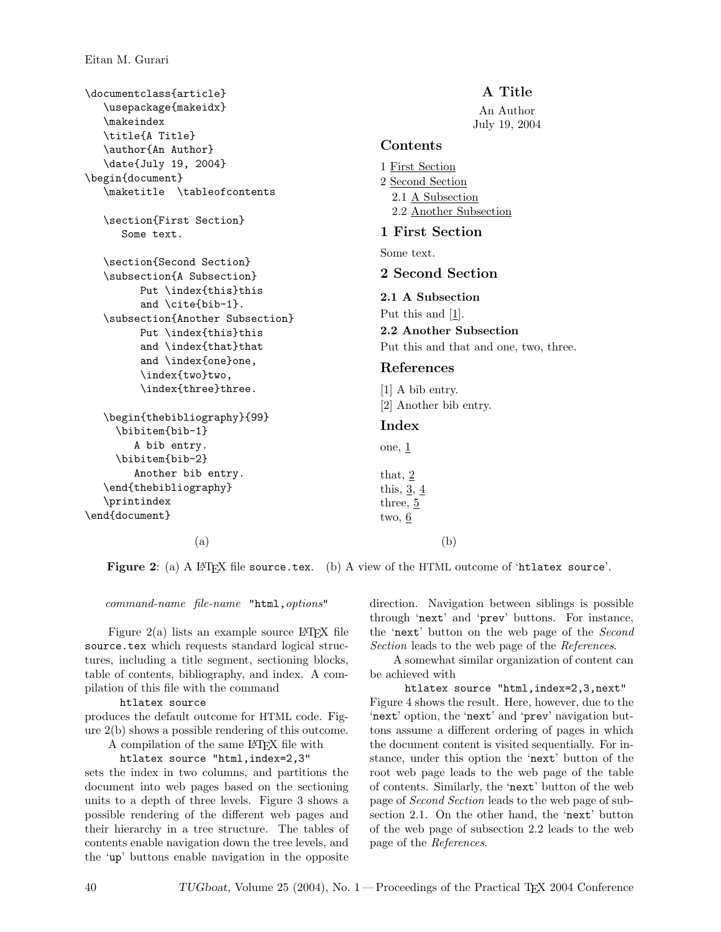\documentclass{article} \usepackage{makeidx} \makeindex \title{A Title} \author{An Author} \date{July 19, 2004} \begin{document} \maketitle \tableofcontents \section{First Section} Some text. \section{Second Section} \subsection{A Subsection} Put \index{this}this and \cite{bib-1}. \subsection{Another Subsection} Put \index{this}this and \index{that}that and \index{one}one, \index{two}two, \index{three}three. \begin{thebibliography}{99} \bibitem{bib-1} A bib entry. \bibitem{bib-2} Another bib entry. \end{thebibliography} \printindex \end{document}

# A Title An Author July 19, 2004 Contents 1 First Section 2 Second Section 2.1 A Subsection 2.2 Another Subsection 1 First Section Some text. 2 Second Section 2.1 A Subsection Put this and [1]. 2.2 Another Subsection Put this and that and one, two, three. References [1] A bib entry. [2] Another bib entry. Index  $one, 1$ that, 2 this,  $3, 4$ three, 5 two, 6

 $(a)$  (b)

Figure 2: (a) A LATEX file source.tex. (b) A view of the HTML outcome of 'htlatex source'.

command-name file-name "html,options"

Figure  $2(a)$  lists an example source LAT<sub>EX</sub> file source.tex which requests standard logical structures, including a title segment, sectioning blocks, table of contents, bibliography, and index. A compilation of this file with the command

htlatex source

produces the default outcome for HTML code. Figure 2(b) shows a possible rendering of this outcome.

A compilation of the same LATEX file with

htlatex source "html,index=2,3" sets the index in two columns, and partitions the document into web pages based on the sectioning units to a depth of three levels. Figure 3 shows a possible rendering of the different web pages and their hierarchy in a tree structure. The tables of contents enable navigation down the tree levels, and the 'up' buttons enable navigation in the opposite

direction. Navigation between siblings is possible through 'next' and 'prev' buttons. For instance, the 'next' button on the web page of the Second Section leads to the web page of the References.

A somewhat similar organization of content can be achieved with

htlatex source "html, index=2,3,next" Figure 4 shows the result. Here, however, due to the 'next' option, the 'next' and 'prev' navigation buttons assume a different ordering of pages in which the document content is visited sequentially. For instance, under this option the 'next' button of the root web page leads to the web page of the table of contents. Similarly, the 'next' button of the web page of Second Section leads to the web page of subsection 2.1. On the other hand, the 'next' button of the web page of subsection 2.2 leads to the web page of the References.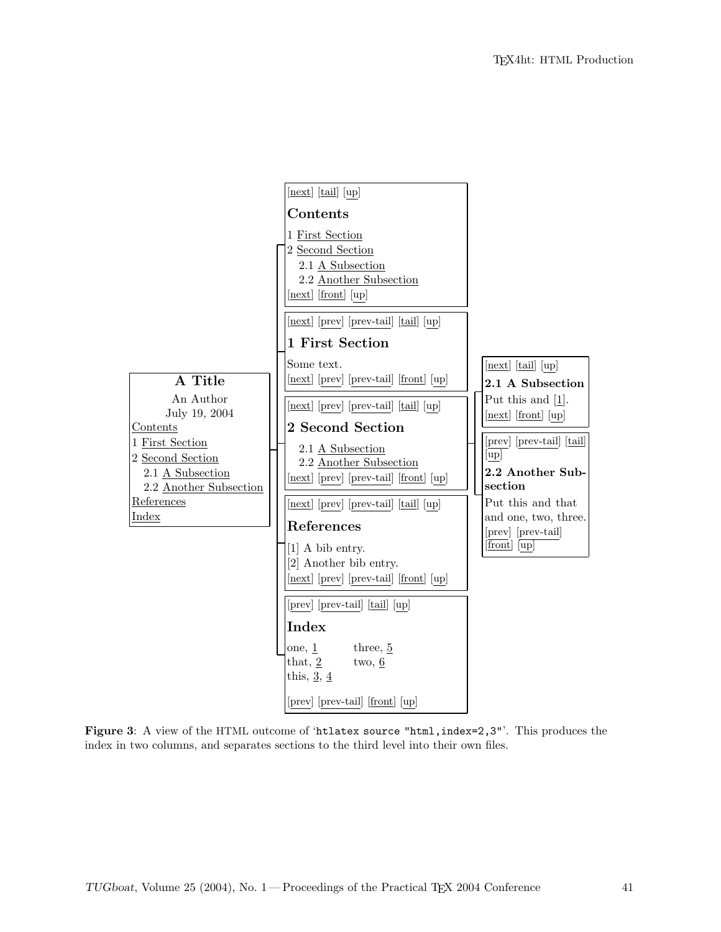

Figure 3: A view of the HTML outcome of 'htlatex source "html, index=2,3"'. This produces the index in two columns, and separates sections to the third level into their own files.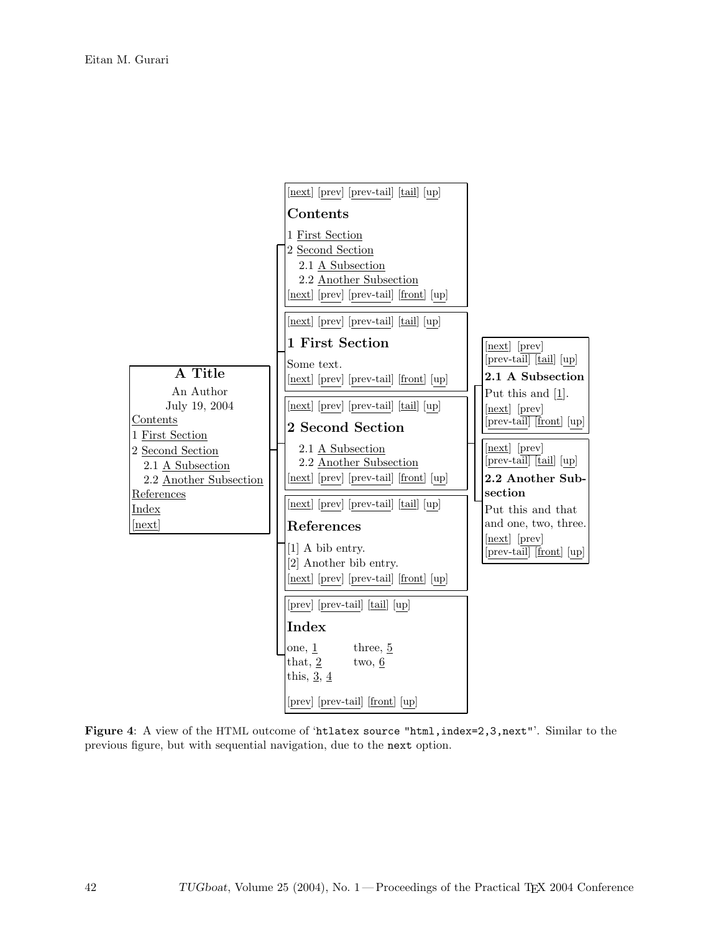

Figure 4: A view of the HTML outcome of 'htlatex source "html,index=2,3,next"'. Similar to the previous figure, but with sequential navigation, due to the next option.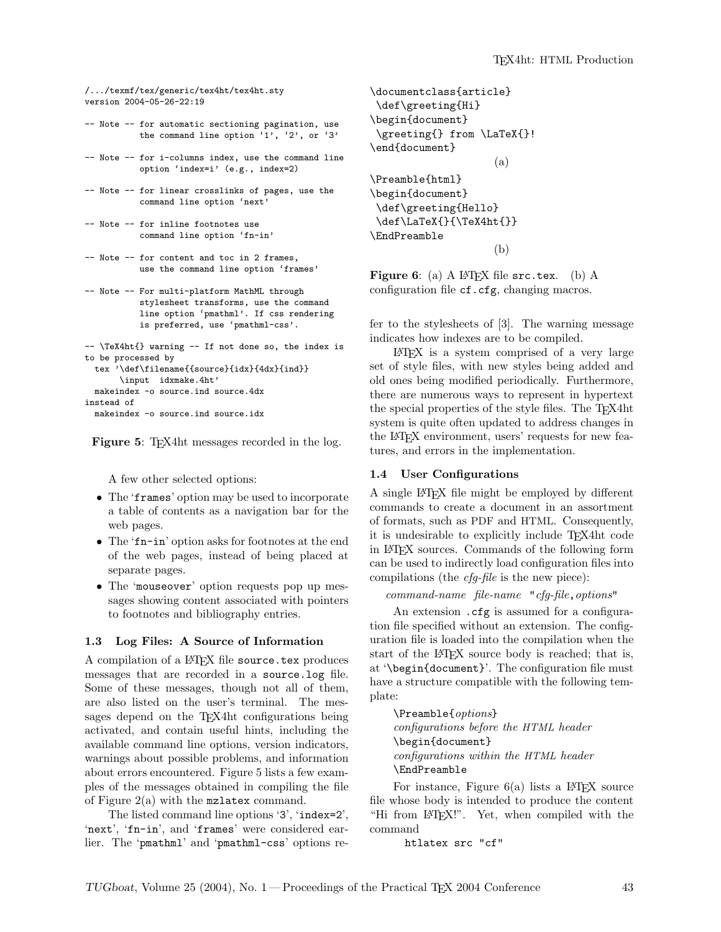```
/.../texmf/tex/generic/tex4ht/tex4ht.sty
version 2004-05-26-22:19
```
- -- Note -- for automatic sectioning pagination, use the command line option '1', '2', or '3'
- -- Note -- for i-columns index, use the command line option 'index=i' (e.g., index=2)
- -- Note -- for linear crosslinks of pages, use the command line option 'next'

```
-- Note -- for inline footnotes use
          command line option 'fn-in'
```
- -- Note -- for content and toc in 2 frames, use the command line option 'frames'
- -- Note -- For multi-platform MathML through stylesheet transforms, use the command line option 'pmathml'. If css rendering is preferred, use 'pmathml-css'.
- -- \TeX4ht{} warning -- If not done so, the index is to be processed by tex '\def\filename{{source}{idx}{4dx}{ind}} \input idxmake.4ht' makeindex -o source.ind source.4dx instead of

makeindex -o source.ind source.idx

Figure 5: T<sub>E</sub>X4ht messages recorded in the log.

A few other selected options:

- The 'frames' option may be used to incorporate a table of contents as a navigation bar for the web pages.
- $\bullet\,$  The 'fn–in' option asks for footnotes at the end of the web pages, instead of being placed at separate pages.
- The 'mouseover' option requests pop up messages showing content associated with pointers to footnotes and bibliography entries.

### 1.3 Log Files: A Source of Information

A compilation of a IAT<sub>F</sub>X file source.tex produces messages that are recorded in a source.log file. Some of these messages, though not all of them, are also listed on the user's terminal. The messages depend on the TEX4ht configurations being activated, and contain useful hints, including the available command line options, version indicators, warnings about possible problems, and information about errors encountered. Figure 5 lists a few examples of the messages obtained in compiling the file of Figure 2(a) with the mzlatex command.

The listed command line options '3', 'index=2', 'next', 'fn-in', and 'frames' were considered earlier. The 'pmathml' and 'pmathml-css' options re-

```
\documentclass{article}
\def\greeting{Hi}
\begin{document}
 \greeting{} from \LaTeX{}!
\end{document}
                     (a)
\Preamble{html}
\begin{document}
\def\greeting{Hello}
\def\LaTeX{}{\TeX4ht{}}
\EndPreamble
                     (b)
```
Figure 6: (a) A LAT<sub>F</sub>X file src.tex. (b) A configuration file cf.cfg, changing macros.

fer to the stylesheets of [3]. The warning message indicates how indexes are to be compiled.

LATEX is a system comprised of a very large set of style files, with new styles being added and old ones being modified periodically. Furthermore, there are numerous ways to represent in hypertext the special properties of the style files. The TEX4ht system is quite often updated to address changes in the LATEX environment, users' requests for new features, and errors in the implementation.

### 1.4 User Configurations

A single LATEX file might be employed by different commands to create a document in an assortment of formats, such as PDF and HTML. Consequently, it is undesirable to explicitly include TEX4ht code in LATEX sources. Commands of the following form can be used to indirectly load configuration files into compilations (the cfg-file is the new piece):

command-name file-name "cfg-file,options"

An extension . cfg is assumed for a configuration file specified without an extension. The configuration file is loaded into the compilation when the start of the LAT<sub>EX</sub> source body is reached; that is, at '\begin{document}'. The configuration file must have a structure compatible with the following template:

\Preamble{options} configurations before the HTML header \begin{document} configurations within the HTML header \EndPreamble

For instance, Figure  $6(a)$  lists a LAT<sub>E</sub>X source file whose body is intended to produce the content "Hi from LATEX!". Yet, when compiled with the command

htlatex src "cf"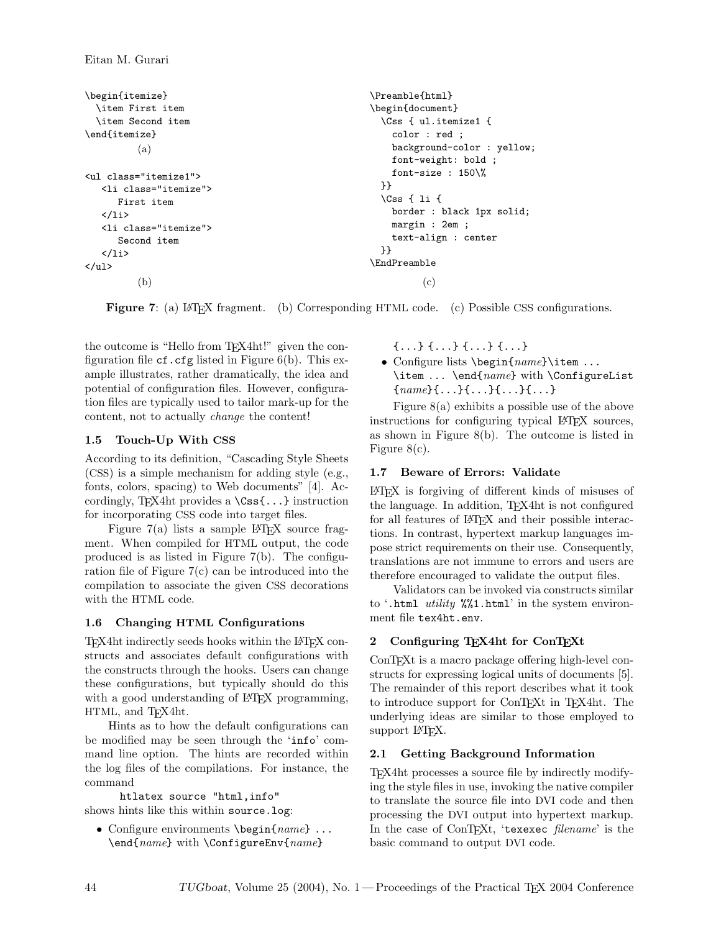```
\begin{itemize}
  \item First item
  \item Second item
\end{itemize}
          (a)
<ul class="itemize1">
   <li class="itemize">
      First item
   \langle/li>
   <li class="itemize">
      Second item
   \langle/li>
\langle/ul>
          (b)
                                                        \Preamble{html}
                                                        \begin{document}
                                                          \Css { ul.itemize1 {
                                                            color : red ;
                                                            background-color : yellow;
                                                            font-weight: bold ;
                                                            font-size : 150\%
                                                          }}
                                                          \Css { li {
                                                            border : black 1px solid;
                                                            margin : 2em ;
                                                            text-align : center
                                                          }}
                                                        \EndPreamble
                                                                  (c)
```
Figure 7: (a) L<sup>AT</sup>EX fragment. (b) Corresponding HTML code. (c) Possible CSS configurations.

the outcome is "Hello from T<sub>E</sub>X4ht!" given the configuration file  $cf.cfg$  listed in Figure 6(b). This example illustrates, rather dramatically, the idea and potential of configuration files. However, configuration files are typically used to tailor mark-up for the content, not to actually change the content!

### 1.5 Touch-Up With CSS

According to its definition, "Cascading Style Sheets (CSS) is a simple mechanism for adding style (e.g., fonts, colors, spacing) to Web documents" [4]. Accordingly, T<sub>E</sub>X4ht provides a  $\text{Css}\$ ... } instruction for incorporating CSS code into target files.

Figure  $7(a)$  lists a sample L<sup>AT</sup>EX source fragment. When compiled for HTML output, the code produced is as listed in Figure 7(b). The configuration file of Figure 7(c) can be introduced into the compilation to associate the given CSS decorations with the HTML code.

## 1.6 Changing HTML Configurations

TEX4ht indirectly seeds hooks within the LATEX constructs and associates default configurations with the constructs through the hooks. Users can change these configurations, but typically should do this with a good understanding of LAT<sub>EX</sub> programming, HTML, and T<sub>E</sub>X4ht.

Hints as to how the default configurations can be modified may be seen through the 'info' command line option. The hints are recorded within the log files of the compilations. For instance, the command

htlatex source "html,info" shows hints like this within source.log:

• Configure environments \begin{name} ... \end{name} with \ConfigureEnv{name}

{...} {...} {...} {...}

• Configure lists \begin{name}\item ... \item ... \end{name} with \ConfigureList  ${name}_{\{...}\},\{...}\},\{...}\}$ 

Figure 8(a) exhibits a possible use of the above instructions for configuring typical LATEX sources, as shown in Figure 8(b). The outcome is listed in Figure 8(c).

# 1.7 Beware of Errors: Validate

LATEX is forgiving of different kinds of misuses of the language. In addition, TEX4ht is not configured for all features of LAT<sub>EX</sub> and their possible interactions. In contrast, hypertext markup languages impose strict requirements on their use. Consequently, translations are not immune to errors and users are therefore encouraged to validate the output files.

Validators can be invoked via constructs similar to '.html utility  $\frac{1}{2}\times 1$ .html' in the system environment file tex4ht.env.

# 2 Configuring TEX4ht for ConTEXt

ConTEXt is a macro package offering high-level constructs for expressing logical units of documents [5]. The remainder of this report describes what it took to introduce support for ConTEXt in TEX4ht. The underlying ideas are similar to those employed to support L<sup>AT</sup>FX.

## 2.1 Getting Background Information

TEX4ht processes a source file by indirectly modifying the style files in use, invoking the native compiler to translate the source file into DVI code and then processing the DVI output into hypertext markup. In the case of ConT<sub>E</sub>Xt, 'texexec *filename*' is the basic command to output DVI code.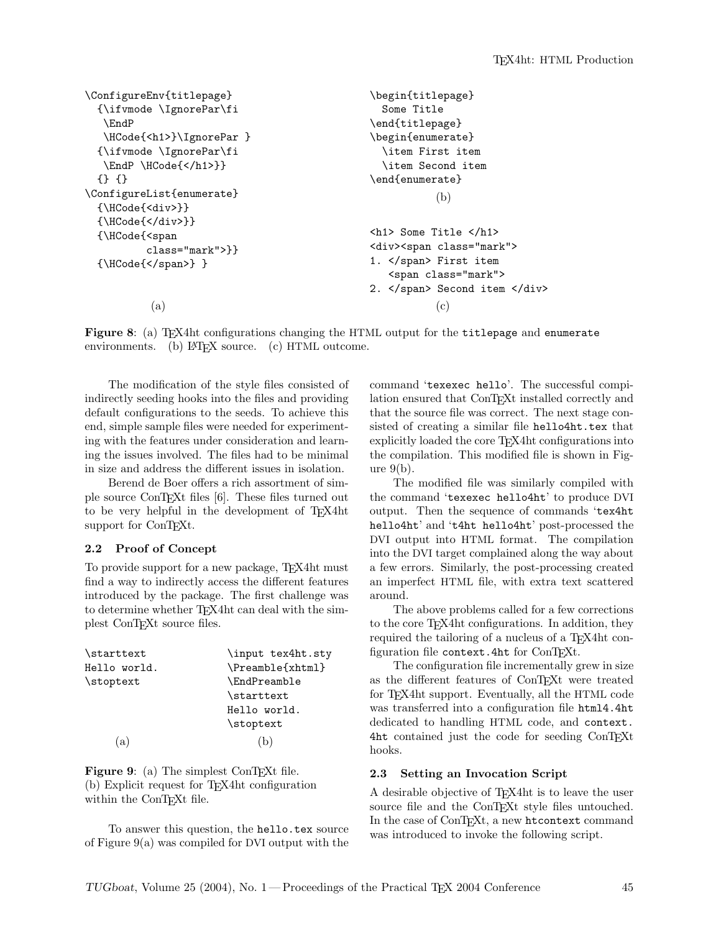```
\ConfigureEnv{titlepage}
 {\ifvmode \IgnorePar\fi
   \EndP
   \HCode{<h1>}\IgnorePar }
 {\ifvmode \IgnorePar\fi
   \EndP \HCode{</h1>}}
 {} {}
\ConfigureList{enumerate}
 {\HCode{<div>}}
 {\HCode{</div>}}
 {\HCode{<span
          class="mark">}}
 {\HCode{</span>} }
           (a)
                                                \begin{titlepage}
                                                  Some Title
                                                \end{titlepage}
                                                \begin{enumerate}
                                                  \item First item
                                                  \item Second item
                                                \end{enumerate}
                                                           (b)
                                                <h1> Some Title </h1>
                                                <div><span class="mark">
                                                1. </span> First item
                                                   <span class="mark">
                                                2. </span> Second item </div>
                                                           (c)
```
Figure 8: (a) TFX4ht configurations changing the HTML output for the titlepage and enumerate environments. (b)  $\angle$  ET<sub>F</sub>X source. (c) HTML outcome.

The modification of the style files consisted of indirectly seeding hooks into the files and providing default configurations to the seeds. To achieve this end, simple sample files were needed for experimenting with the features under consideration and learning the issues involved. The files had to be minimal in size and address the different issues in isolation.

Berend de Boer offers a rich assortment of simple source ConTEXt files [6]. These files turned out to be very helpful in the development of TEX4ht support for ConT<sub>EXt</sub>.

### 2.2 Proof of Concept

To provide support for a new package, TEX4ht must find a way to indirectly access the different features introduced by the package. The first challenge was to determine whether TEX4ht can deal with the simplest ConTEXt source files.

| \starttext   | \input tex4ht.sty   |
|--------------|---------------------|
| Hello world. | \Preamble{xhtml}    |
| \stoptext    | <b>\EndPreamble</b> |
|              | \starttext          |
|              | Hello world.        |
|              | \stoptext           |
| (a)          | (b)                 |
|              |                     |

Figure 9: (a) The simplest ConTEXt file. (b) Explicit request for TEX4ht configuration within the ConT<sub>EXt</sub> file.

To answer this question, the hello.tex source of Figure 9(a) was compiled for DVI output with the command 'texexec hello'. The successful compilation ensured that ConTEXt installed correctly and that the source file was correct. The next stage consisted of creating a similar file hello4ht.tex that explicitly loaded the core TEX4ht configurations into the compilation. This modified file is shown in Figure 9(b).

The modified file was similarly compiled with the command 'texexec hello4ht' to produce DVI output. Then the sequence of commands 'tex4ht hello4ht' and 't4ht hello4ht' post-processed the DVI output into HTML format. The compilation into the DVI target complained along the way about a few errors. Similarly, the post-processing created an imperfect HTML file, with extra text scattered around.

The above problems called for a few corrections to the core T<sub>E</sub>X4ht configurations. In addition, they required the tailoring of a nucleus of a T<sub>E</sub>X4ht configuration file context. 4ht for ConTFXt.

The configuration file incrementally grew in size as the different features of ConTEXt were treated for TEX4ht support. Eventually, all the HTML code was transferred into a configuration file html4.4ht dedicated to handling HTML code, and context. 4ht contained just the code for seeding ConTEXt hooks.

#### 2.3 Setting an Invocation Script

A desirable objective of TEX4ht is to leave the user source file and the ConTEXt style files untouched. In the case of ConTEXt, a new htcontext command was introduced to invoke the following script.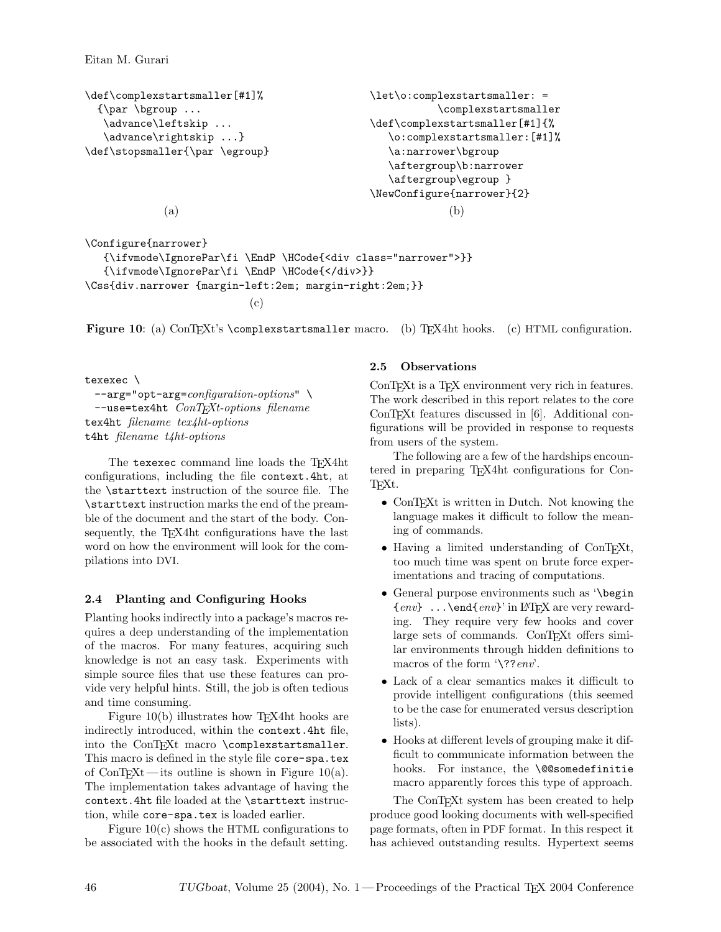Eitan M. Gurari

```
\def\complexstartsmaller[#1]%
  {\par \bgroup ...
   \advance\leftskip ...
   \advance\rightskip ...}
\def\stopsmaller{\par \egroup}
             (a)
                                               \let\o:complexstartsmaller: =
                                                           \complexstartsmaller
                                                \def\complexstartsmaller[#1]{%
                                                   \o:complexstartsmaller:[#1]%
                                                   \a:narrower\bgroup
                                                   \aftergroup\b:narrower
                                                   \aftergroup\egroup }
                                                \NewConfigure{narrower}{2}
                                                             (b)
\Configure{narrower}
```

```
{\ifvmode\IgnorePar\fi \EndP \HCode{<div class="narrower">}}
   {\ifvmode\IgnorePar\fi \EndP \HCode{</div>}}
\Css{div.narrower {margin-left:2em; margin-right:2em;}}
                           (c)
```
Figure 10: (a) ConTEXt's \complexstartsmaller macro. (b) TEX4ht hooks. (c) HTML configuration.

texexec \ --arg="opt-arg=configuration-options" --use=tex4ht ConTEXt-options filename tex4ht filename tex4ht-options t4ht filename t4ht-options

The texexec command line loads the T<sub>E</sub>X4ht configurations, including the file context.4ht, at the \starttext instruction of the source file. The \starttext instruction marks the end of the preamble of the document and the start of the body. Consequently, the T<sub>EX4</sub> ht configurations have the last word on how the environment will look for the compilations into DVI.

## 2.4 Planting and Configuring Hooks

Planting hooks indirectly into a package's macros requires a deep understanding of the implementation of the macros. For many features, acquiring such knowledge is not an easy task. Experiments with simple source files that use these features can provide very helpful hints. Still, the job is often tedious and time consuming.

Figure  $10(b)$  illustrates how T<sub>E</sub>X4ht hooks are indirectly introduced, within the context.4ht file, into the ConTEXt macro \complexstartsmaller. This macro is defined in the style file core-spa.tex of ConT<sub>E</sub>Xt—its outline is shown in Figure 10(a). The implementation takes advantage of having the context.4ht file loaded at the \starttext instruction, while core-spa.tex is loaded earlier.

Figure  $10(c)$  shows the HTML configurations to be associated with the hooks in the default setting.

## 2.5 Observations

ConTEXt is a TEX environment very rich in features. The work described in this report relates to the core ConTEXt features discussed in [6]. Additional configurations will be provided in response to requests from users of the system.

The following are a few of the hardships encountered in preparing TEX4ht configurations for Con-TEXt.

- ConT<sub>F</sub>Xt is written in Dutch. Not knowing the language makes it difficult to follow the meaning of commands.
- Having a limited understanding of ConTEXt, too much time was spent on brute force experimentations and tracing of computations.
- General purpose environments such as '\begin  $\{env\}$  ... \end $\{env\}'$  in LAT<sub>F</sub>X are very rewarding. They require very few hooks and cover large sets of commands. ConTEXt offers similar environments through hidden definitions to macros of the form '\??*env*'.
- Lack of a clear semantics makes it difficult to provide intelligent configurations (this seemed to be the case for enumerated versus description lists).
- Hooks at different levels of grouping make it difficult to communicate information between the hooks. For instance, the \@@somedefinitie macro apparently forces this type of approach.

The ConT<sub>E</sub>X<sup>t</sup> system has been created to help produce good looking documents with well-specified page formats, often in PDF format. In this respect it has achieved outstanding results. Hypertext seems